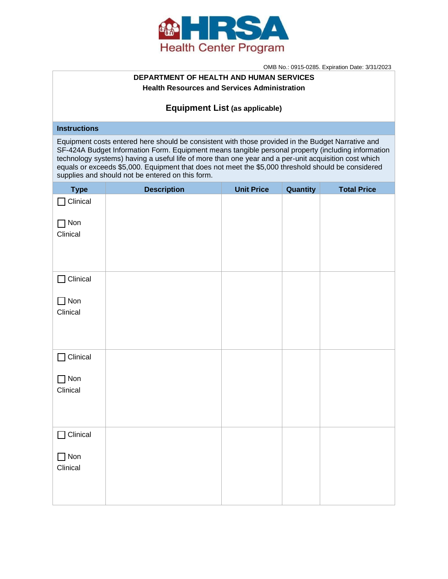

OMB No.: 0915-0285. Expiration Date: 3/31/2023

## **DEPARTMENT OF HEALTH AND HUMAN SERVICES Health Resources and Services Administration**

## **Equipment List (as applicable)**

## **Instructions**

Equipment costs entered here should be consistent with those provided in the Budget Narrative and SF-424A Budget Information Form. Equipment means tangible personal property (including information technology systems) having a useful life of more than one year and a per-unit acquisition cost which equals or exceeds \$5,000. Equipment that does not meet the \$5,000 threshold should be considered supplies and should not be entered on this form.

| <b>Type</b>        | <b>Description</b> | <b>Unit Price</b> | Quantity | <b>Total Price</b> |
|--------------------|--------------------|-------------------|----------|--------------------|
| Clinical<br>$\Box$ |                    |                   |          |                    |
| $\Box$ Non         |                    |                   |          |                    |
| Clinical           |                    |                   |          |                    |
|                    |                    |                   |          |                    |
|                    |                    |                   |          |                    |
|                    |                    |                   |          |                    |
| $\Box$ Clinical    |                    |                   |          |                    |
| $\Box$ Non         |                    |                   |          |                    |
| Clinical           |                    |                   |          |                    |
|                    |                    |                   |          |                    |
|                    |                    |                   |          |                    |
|                    |                    |                   |          |                    |
| $\Box$ Clinical    |                    |                   |          |                    |
| $\Box$ Non         |                    |                   |          |                    |
| Clinical           |                    |                   |          |                    |
|                    |                    |                   |          |                    |
|                    |                    |                   |          |                    |
| $\Box$ Clinical    |                    |                   |          |                    |
|                    |                    |                   |          |                    |
| $\Box$ Non         |                    |                   |          |                    |
| Clinical           |                    |                   |          |                    |
|                    |                    |                   |          |                    |
|                    |                    |                   |          |                    |